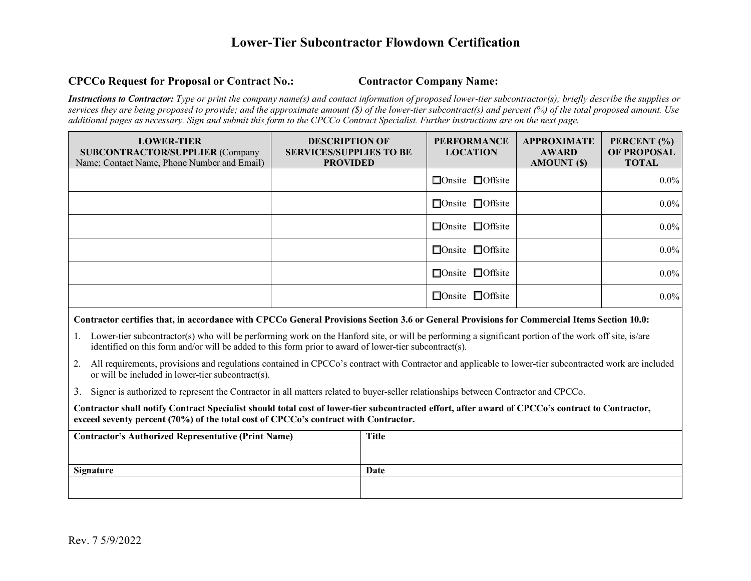## **Lower-Tier Subcontractor Flowdown Certification**

## **CPCCo Request for Proposal or Contract No.: Contractor Company Name:**

*Instructions to Contractor: Type or print the company name(s) and contact information of proposed lower-tier subcontractor(s); briefly describe the supplies or services they are being proposed to provide; and the approximate amount (\$) of the lower-tier subcontract(s) and percent (%) of the total proposed amount. Use additional pages as necessary. Sign and submit this form to the CPCCo Contract Specialist. Further instructions are on the next page.* 

| <b>LOWER-TIER</b><br><b>SUBCONTRACTOR/SUPPLIER (Company</b><br>Name; Contact Name, Phone Number and Email) | <b>DESCRIPTION OF</b><br><b>SERVICES/SUPPLIES TO BE</b><br><b>PROVIDED</b> | <b>PERFORMANCE</b><br><b>LOCATION</b> | <b>APPROXIMATE</b><br><b>AWARD</b><br>AMOUNT (\$) | PERCENT (%)<br><b>OF PROPOSAL</b><br><b>TOTAL</b> |
|------------------------------------------------------------------------------------------------------------|----------------------------------------------------------------------------|---------------------------------------|---------------------------------------------------|---------------------------------------------------|
|                                                                                                            |                                                                            | $\Box$ Onsite $\Box$ Offsite          |                                                   | $0.0\%$                                           |
|                                                                                                            |                                                                            | $\Box$ Onsite $\Box$ Offsite          |                                                   | $0.0\%$                                           |
|                                                                                                            |                                                                            | $\Box$ Onsite $\Box$ Offsite          |                                                   | $0.0\%$                                           |
|                                                                                                            |                                                                            | $\Box$ Onsite $\Box$ Offsite          |                                                   | $0.0\%$                                           |
|                                                                                                            |                                                                            | $\Box$ Onsite $\Box$ Offsite          |                                                   | $0.0\%$                                           |
|                                                                                                            |                                                                            | $\Box$ Onsite $\Box$ Offsite          |                                                   | $0.0\%$                                           |

#### **Contractor certifies that, in accordance with CPCCo General Provisions Section 3.6 or General Provisions for Commercial Items Section 10.0:**

- 1. Lower-tier subcontractor(s) who will be performing work on the Hanford site, or will be performing a significant portion of the work off site, is/are identified on this form and/or will be added to this form prior to award of lower-tier subcontract(s).
- 2. All requirements, provisions and regulations contained in CPCCo's contract with Contractor and applicable to lower-tier subcontracted work are included or will be included in lower-tier subcontract(s).
- 3. Signer is authorized to represent the Contractor in all matters related to buyer-seller relationships between Contractor and CPCCo.

Contractor shall notify Contract Specialist should total cost of lower-tier subcontracted effort, after award of CPCCo's contract to Contractor, **exceed seventy percent (70%) of the total cost of CPCCo's contract with Contractor.**

| <b>Contractor's Authorized Representative (Print Name)</b> | Title |
|------------------------------------------------------------|-------|
|                                                            |       |
|                                                            |       |
| <b>Signature</b>                                           | Date  |
|                                                            |       |
|                                                            |       |